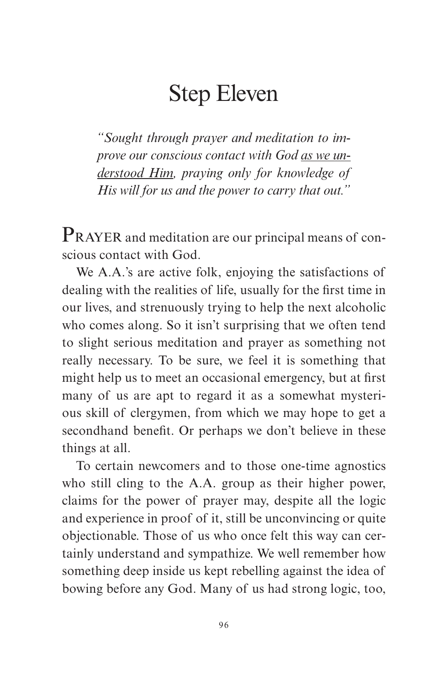## Step Eleven

*"Sought through prayer and meditation to improve our conscious contact with God as we understood Him, praying only for knowledge of His will for us and the power to carry that out."*

PRAYER and meditation are our principal means of conscious contact with God.

We A.A.'s are active folk, enjoying the satisfactions of dealing with the realities of life, usually for the first time in our lives, and strenuously trying to help the next alcoholic who comes along. So it isn't surprising that we often tend to slight serious meditation and prayer as something not really necessary. To be sure, we feel it is something that might help us to meet an occasional emergency, but at first many of us are apt to regard it as a somewhat mysterious skill of clergymen, from which we may hope to get a secondhand benefit. Or perhaps we don't believe in these things at all.

To certain newcomers and to those one-time agnostics who still cling to the A.A. group as their higher power, claims for the power of prayer may, despite all the logic and experience in proof of it, still be unconvincing or quite objectionable. Those of us who once felt this way can certainly understand and sympathize. We well remember how something deep inside us kept rebelling against the idea of bowing before any God. Many of us had strong logic, too,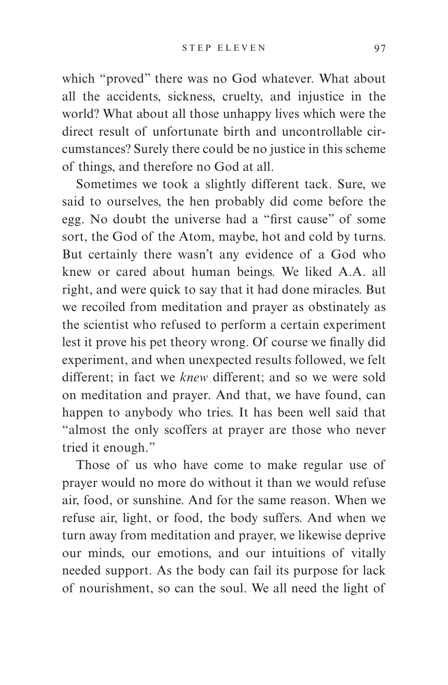which "proved" there was no God whatever. What about all the accidents, sickness, cruelty, and injustice in the world? What about all those unhappy lives which were the direct result of unfortunate birth and uncontrollable circumstances? Surely there could be no justice in this scheme of things, and therefore no God at all.

Sometimes we took a slightly different tack. Sure, we said to ourselves, the hen probably did come before the egg. No doubt the universe had a "first cause" of some sort, the God of the Atom, maybe, hot and cold by turns. But certainly there wasn't any evidence of a God who knew or cared about human beings. We liked A.A. all right, and were quick to say that it had done miracles. But we recoiled from meditation and prayer as obstinately as the scientist who refused to perform a certain experiment lest it prove his pet theory wrong. Of course we finally did experiment, and when unexpected results followed, we felt different; in fact we *knew* different; and so we were sold on meditation and prayer. And that, we have found, can happen to anybody who tries. It has been well said that "almost the only scoffers at prayer are those who never tried it enough."

Those of us who have come to make regular use of prayer would no more do without it than we would refuse air, food, or sunshine. And for the same reason. When we refuse air, light, or food, the body suffers. And when we turn away from meditation and prayer, we likewise deprive our minds, our emotions, and our intuitions of vitally needed support. As the body can fail its purpose for lack of nourishment, so can the soul. We all need the light of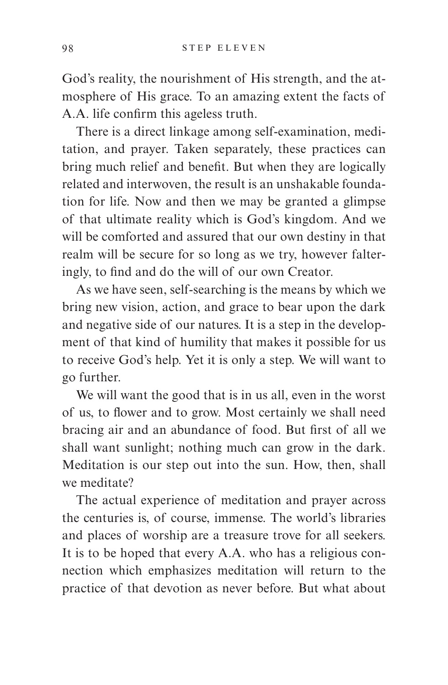God's reality, the nourishment of His strength, and the atmosphere of His grace. To an amazing extent the facts of A.A. life confirm this ageless truth.

There is a direct linkage among self-examination, meditation, and prayer. Taken separately, these practices can bring much relief and benefit. But when they are logically related and interwoven, the result is an unshakable foundation for life. Now and then we may be granted a glimpse of that ultimate reality which is God's kingdom. And we will be comforted and assured that our own destiny in that realm will be secure for so long as we try, however falteringly, to find and do the will of our own Creator.

As we have seen, self-searching is the means by which we bring new vision, action, and grace to bear upon the dark and negative side of our natures. It is a step in the development of that kind of humility that makes it possible for us to receive God's help. Yet it is only a step. We will want to go further.

We will want the good that is in us all, even in the worst of us, to flower and to grow. Most certainly we shall need bracing air and an abundance of food. But first of all we shall want sunlight; nothing much can grow in the dark. Meditation is our step out into the sun. How, then, shall we meditate?

The actual experience of meditation and prayer across the centuries is, of course, immense. The world's libraries and places of worship are a treasure trove for all seekers. It is to be hoped that every A.A. who has a religious connection which emphasizes meditation will return to the practice of that devotion as never before. But what about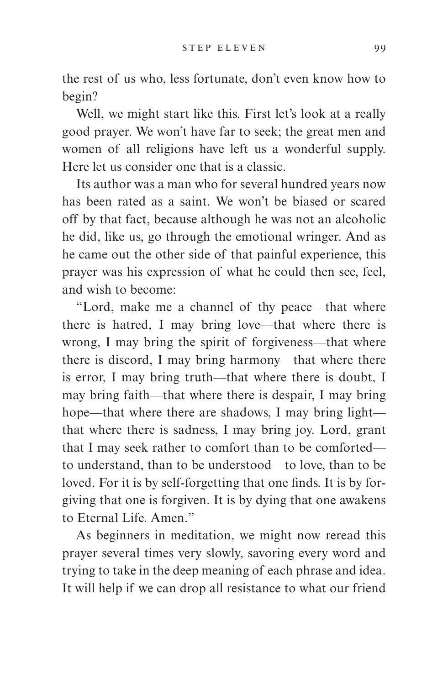the rest of us who, less fortunate, don't even know how to begin?

Well, we might start like this. First let's look at a really good prayer. We won't have far to seek; the great men and women of all religions have left us a wonderful supply. Here let us consider one that is a classic.

Its author was a man who for several hundred years now has been rated as a saint. We won't be biased or scared off by that fact, because although he was not an alcoholic he did, like us, go through the emotional wringer. And as he came out the other side of that painful experience, this prayer was his expression of what he could then see, feel, and wish to become:

"Lord, make me a channel of thy peace—that where there is hatred, I may bring love—that where there is wrong, I may bring the spirit of forgiveness—that where there is discord, I may bring harmony—that where there is error, I may bring truth—that where there is doubt, I may bring faith—that where there is despair, I may bring hope—that where there are shadows, I may bring light that where there is sadness, I may bring joy. Lord, grant that I may seek rather to comfort than to be comforted to understand, than to be understood—to love, than to be loved. For it is by self-forgetting that one finds. It is by forgiving that one is forgiven. It is by dying that one awakens to Eternal Life. Amen."

As beginners in meditation, we might now reread this prayer several times very slowly, savoring every word and trying to take in the deep meaning of each phrase and idea. It will help if we can drop all resistance to what our friend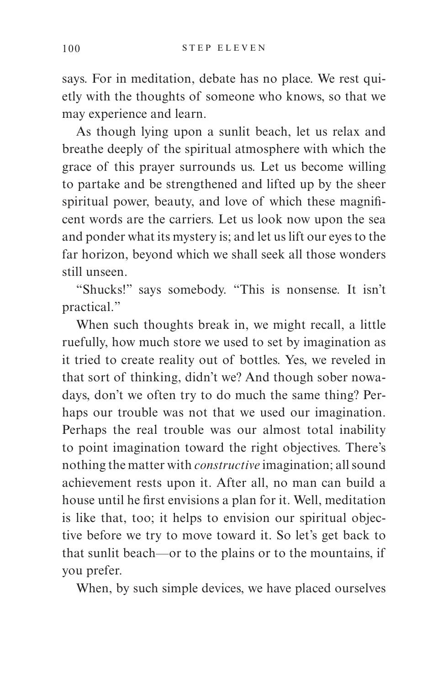says. For in meditation, debate has no place. We rest quietly with the thoughts of someone who knows, so that we may experience and learn.

As though lying upon a sunlit beach, let us relax and breathe deeply of the spiritual atmosphere with which the grace of this prayer surrounds us. Let us become willing to partake and be strengthened and lifted up by the sheer spiritual power, beauty, and love of which these magnificent words are the carriers. Let us look now upon the sea and ponder what its mystery is; and let us lift our eyes to the far horizon, beyond which we shall seek all those wonders still unseen.

"Shucks!" says somebody. "This is nonsense. It isn't practical."

When such thoughts break in, we might recall, a little ruefully, how much store we used to set by imagination as it tried to create reality out of bottles. Yes, we reveled in that sort of thinking, didn't we? And though sober nowadays, don't we often try to do much the same thing? Perhaps our trouble was not that we used our imagination. Perhaps the real trouble was our almost total inability to point imagination toward the right objectives. There's nothing the matter with *constructive* imagination; all sound achievement rests upon it. After all, no man can build a house until he first envisions a plan for it. Well, meditation is like that, too; it helps to envision our spiritual objective before we try to move toward it. So let's get back to that sunlit beach—or to the plains or to the mountains, if you prefer.

When, by such simple devices, we have placed ourselves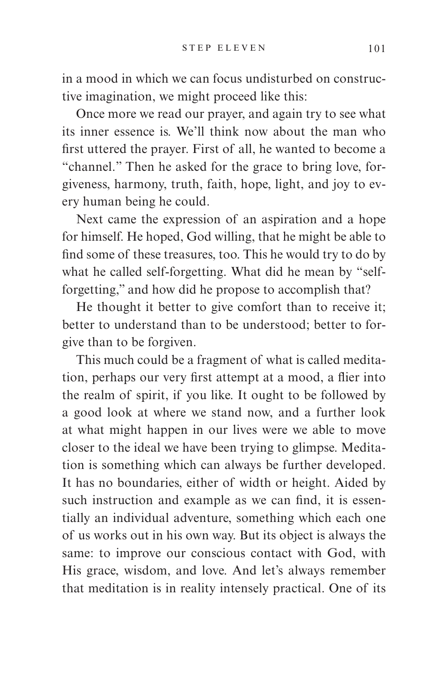in a mood in which we can focus undisturbed on constructive imagination, we might proceed like this:

Once more we read our prayer, and again try to see what its inner essence is. We'll think now about the man who first uttered the prayer. First of all, he wanted to become a "channel." Then he asked for the grace to bring love, forgiveness, harmony, truth, faith, hope, light, and joy to every human being he could.

Next came the expression of an aspiration and a hope for himself. He hoped, God willing, that he might be able to find some of these treasures, too. This he would try to do by what he called self-forgetting. What did he mean by "selfforgetting," and how did he propose to accomplish that?

He thought it better to give comfort than to receive it; better to understand than to be understood; better to forgive than to be forgiven.

This much could be a fragment of what is called meditation, perhaps our very first attempt at a mood, a flier into the realm of spirit, if you like. It ought to be followed by a good look at where we stand now, and a further look at what might happen in our lives were we able to move closer to the ideal we have been trying to glimpse. Meditation is something which can always be further developed. It has no boundaries, either of width or height. Aided by such instruction and example as we can find, it is essentially an individual adventure, something which each one of us works out in his own way. But its object is always the same: to improve our conscious contact with God, with His grace, wisdom, and love. And let's always remember that meditation is in reality intensely practical. One of its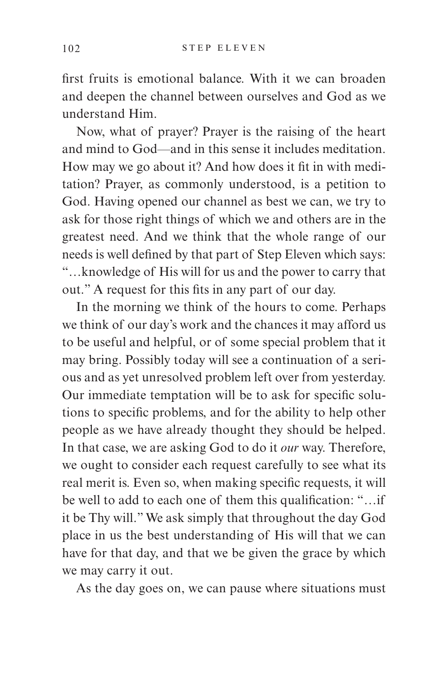first fruits is emotional balance. With it we can broaden and deepen the channel between ourselves and God as we understand Him.

Now, what of prayer? Prayer is the raising of the heart and mind to God—and in this sense it includes meditation. How may we go about it? And how does it fit in with meditation? Prayer, as commonly understood, is a petition to God. Having opened our channel as best we can, we try to ask for those right things of which we and others are in the greatest need. And we think that the whole range of our needs is well defined by that part of Step Eleven which says: "…knowledge of His will for us and the power to carry that out." A request for this fits in any part of our day.

In the morning we think of the hours to come. Perhaps we think of our day's work and the chances it may afford us to be useful and helpful, or of some special problem that it may bring. Possibly today will see a continuation of a serious and as yet unresolved problem left over from yesterday. Our immediate temptation will be to ask for specific solutions to specific problems, and for the ability to help other people as we have already thought they should be helped. In that case, we are asking God to do it *our* way. Therefore, we ought to consider each request carefully to see what its real merit is. Even so, when making specific requests, it will be well to add to each one of them this qualification: "...if it be Thy will." We ask simply that throughout the day God place in us the best understanding of His will that we can have for that day, and that we be given the grace by which we may carry it out.

As the day goes on, we can pause where situations must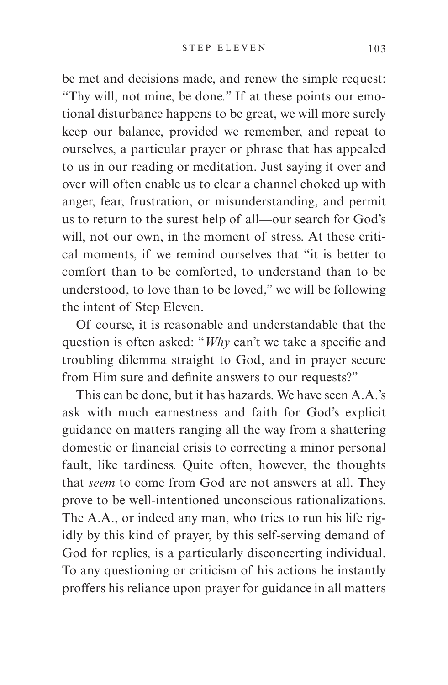be met and decisions made, and renew the simple request: "Thy will, not mine, be done." If at these points our emotional disturbance happens to be great, we will more surely keep our balance, provided we remember, and repeat to ourselves, a particular prayer or phrase that has appealed to us in our reading or meditation. Just saying it over and over will often enable us to clear a channel choked up with anger, fear, frustration, or misunderstanding, and permit us to return to the surest help of all—our search for God's will, not our own, in the moment of stress. At these critical moments, if we remind ourselves that "it is better to comfort than to be comforted, to understand than to be understood, to love than to be loved," we will be following the intent of Step Eleven.

Of course, it is reasonable and understandable that the question is often asked: "*Why* can't we take a specific and troubling dilemma straight to God, and in prayer secure from Him sure and definite answers to our requests?"

This can be done, but it has hazards. We have seen A.A.'s ask with much earnestness and faith for God's explicit guidance on matters ranging all the way from a shattering domestic or financial crisis to correcting a minor personal fault, like tardiness. Quite often, however, the thoughts that *seem* to come from God are not answers at all. They prove to be well-intentioned unconscious rationalizations. The A.A., or indeed any man, who tries to run his life rigidly by this kind of prayer, by this self-serving demand of God for replies, is a particularly disconcerting individual. To any questioning or criticism of his actions he instantly proffers his reliance upon prayer for guidance in all matters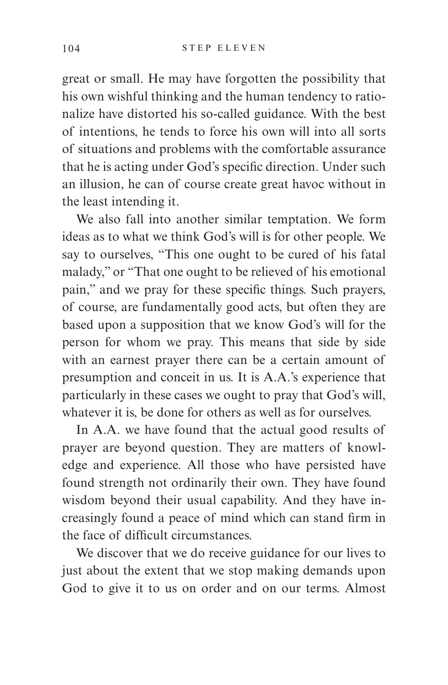104 STEP ELEVEN

great or small. He may have forgotten the possibility that his own wishful thinking and the human tendency to rationalize have distorted his so-called guidance. With the best of intentions, he tends to force his own will into all sorts of situations and problems with the comfortable assurance that he is acting under God's specific direction. Under such an illusion, he can of course create great havoc without in the least intending it.

We also fall into another similar temptation. We form ideas as to what we think God's will is for other people. We say to ourselves, "This one ought to be cured of his fatal malady," or "That one ought to be relieved of his emotional pain," and we pray for these specific things. Such prayers, of course, are fundamentally good acts, but often they are based upon a supposition that we know God's will for the person for whom we pray. This means that side by side with an earnest prayer there can be a certain amount of presumption and conceit in us. It is A.A.'s experience that particularly in these cases we ought to pray that God's will, whatever it is, be done for others as well as for ourselves.

In A.A. we have found that the actual good results of prayer are beyond question. They are matters of knowledge and experience. All those who have persisted have found strength not ordinarily their own. They have found wisdom beyond their usual capability. And they have increasingly found a peace of mind which can stand firm in the face of difficult circumstances.

We discover that we do receive guidance for our lives to just about the extent that we stop making demands upon God to give it to us on order and on our terms. Almost